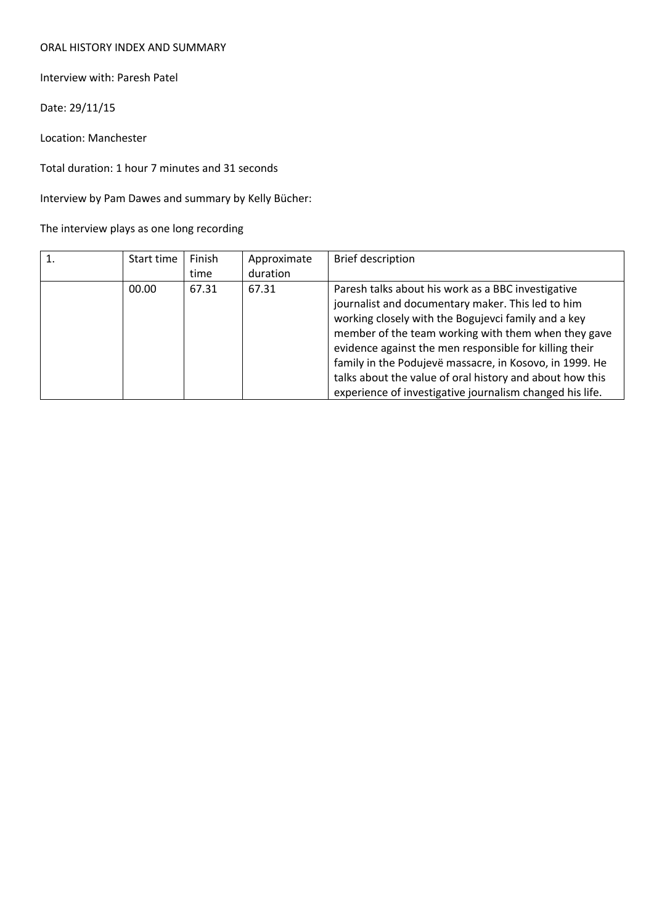## ORAL HISTORY INDEX AND SUMMARY

Interview with: Paresh Patel

Date: 29/11/15

Location: Manchester

Total duration: 1 hour 7 minutes and 31 seconds

Interview by Pam Dawes and summary by Kelly Bücher:

The interview plays as one long recording

| Start time | Finish<br>time | Approximate<br>duration | Brief description                                                                                                                                                                                                                                                                                                                                                                                                                                                  |
|------------|----------------|-------------------------|--------------------------------------------------------------------------------------------------------------------------------------------------------------------------------------------------------------------------------------------------------------------------------------------------------------------------------------------------------------------------------------------------------------------------------------------------------------------|
| 00.00      | 67.31          | 67.31                   | Paresh talks about his work as a BBC investigative<br>journalist and documentary maker. This led to him<br>working closely with the Bogujevci family and a key<br>member of the team working with them when they gave<br>evidence against the men responsible for killing their<br>family in the Podujevë massacre, in Kosovo, in 1999. He<br>talks about the value of oral history and about how this<br>experience of investigative journalism changed his life. |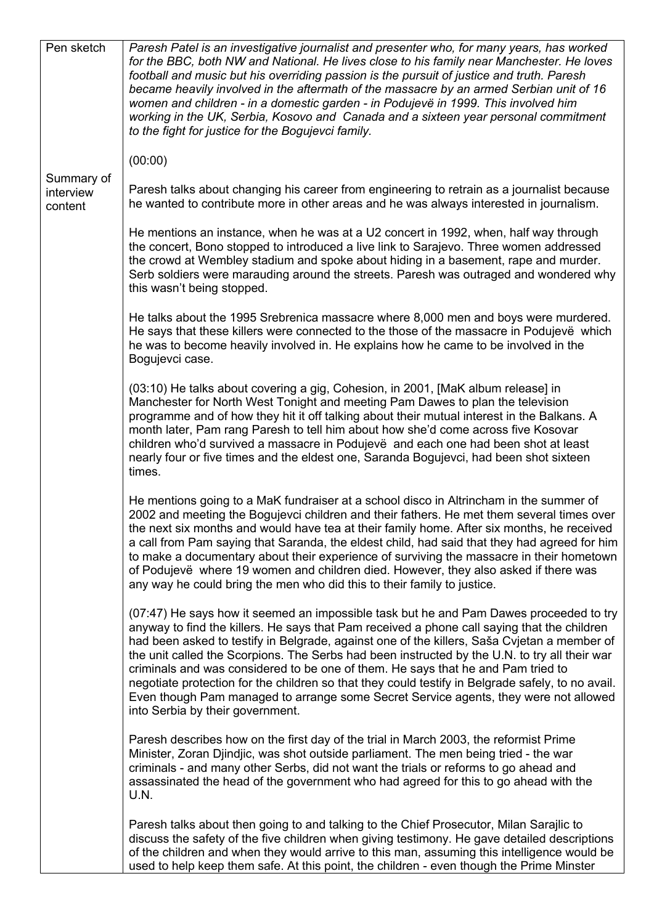| Pen sketch                         | Paresh Patel is an investigative journalist and presenter who, for many years, has worked<br>for the BBC, both NW and National. He lives close to his family near Manchester. He loves<br>football and music but his overriding passion is the pursuit of justice and truth. Paresh<br>became heavily involved in the aftermath of the massacre by an armed Serbian unit of 16<br>women and children - in a domestic garden - in Podujevë in 1999. This involved him<br>working in the UK, Serbia, Kosovo and Canada and a sixteen year personal commitment<br>to the fight for justice for the Bogujevci family.                                                                                          |  |  |  |
|------------------------------------|------------------------------------------------------------------------------------------------------------------------------------------------------------------------------------------------------------------------------------------------------------------------------------------------------------------------------------------------------------------------------------------------------------------------------------------------------------------------------------------------------------------------------------------------------------------------------------------------------------------------------------------------------------------------------------------------------------|--|--|--|
|                                    | (00:00)                                                                                                                                                                                                                                                                                                                                                                                                                                                                                                                                                                                                                                                                                                    |  |  |  |
| Summary of<br>interview<br>content | Paresh talks about changing his career from engineering to retrain as a journalist because<br>he wanted to contribute more in other areas and he was always interested in journalism.                                                                                                                                                                                                                                                                                                                                                                                                                                                                                                                      |  |  |  |
|                                    | He mentions an instance, when he was at a U2 concert in 1992, when, half way through<br>the concert, Bono stopped to introduced a live link to Sarajevo. Three women addressed<br>the crowd at Wembley stadium and spoke about hiding in a basement, rape and murder.<br>Serb soldiers were marauding around the streets. Paresh was outraged and wondered why<br>this wasn't being stopped.                                                                                                                                                                                                                                                                                                               |  |  |  |
|                                    | He talks about the 1995 Srebrenica massacre where 8,000 men and boys were murdered.<br>He says that these killers were connected to the those of the massacre in Podujevë which<br>he was to become heavily involved in. He explains how he came to be involved in the<br>Bogujevci case.                                                                                                                                                                                                                                                                                                                                                                                                                  |  |  |  |
|                                    | (03:10) He talks about covering a gig, Cohesion, in 2001, [MaK album release] in<br>Manchester for North West Tonight and meeting Pam Dawes to plan the television<br>programme and of how they hit it off talking about their mutual interest in the Balkans. A<br>month later, Pam rang Paresh to tell him about how she'd come across five Kosovar<br>children who'd survived a massacre in Podujevë and each one had been shot at least<br>nearly four or five times and the eldest one, Saranda Bogujevci, had been shot sixteen<br>times.                                                                                                                                                            |  |  |  |
|                                    | He mentions going to a MaK fundraiser at a school disco in Altrincham in the summer of<br>2002 and meeting the Bogujevci children and their fathers. He met them several times over<br>the next six months and would have tea at their family home. After six months, he received<br>a call from Pam saying that Saranda, the eldest child, had said that they had agreed for him<br>to make a documentary about their experience of surviving the massacre in their hometown<br>of Podujevë where 19 women and children died. However, they also asked if there was<br>any way he could bring the men who did this to their family to justice.                                                            |  |  |  |
|                                    | (07:47) He says how it seemed an impossible task but he and Pam Dawes proceeded to try<br>anyway to find the killers. He says that Pam received a phone call saying that the children<br>had been asked to testify in Belgrade, against one of the killers, Saša Cvjetan a member of<br>the unit called the Scorpions. The Serbs had been instructed by the U.N. to try all their war<br>criminals and was considered to be one of them. He says that he and Pam tried to<br>negotiate protection for the children so that they could testify in Belgrade safely, to no avail.<br>Even though Pam managed to arrange some Secret Service agents, they were not allowed<br>into Serbia by their government. |  |  |  |
|                                    | Paresh describes how on the first day of the trial in March 2003, the reformist Prime<br>Minister, Zoran Djindjic, was shot outside parliament. The men being tried - the war<br>criminals - and many other Serbs, did not want the trials or reforms to go ahead and<br>assassinated the head of the government who had agreed for this to go ahead with the<br>U.N.                                                                                                                                                                                                                                                                                                                                      |  |  |  |
|                                    | Paresh talks about then going to and talking to the Chief Prosecutor, Milan Sarajlic to<br>discuss the safety of the five children when giving testimony. He gave detailed descriptions<br>of the children and when they would arrive to this man, assuming this intelligence would be<br>used to help keep them safe. At this point, the children - even though the Prime Minster                                                                                                                                                                                                                                                                                                                         |  |  |  |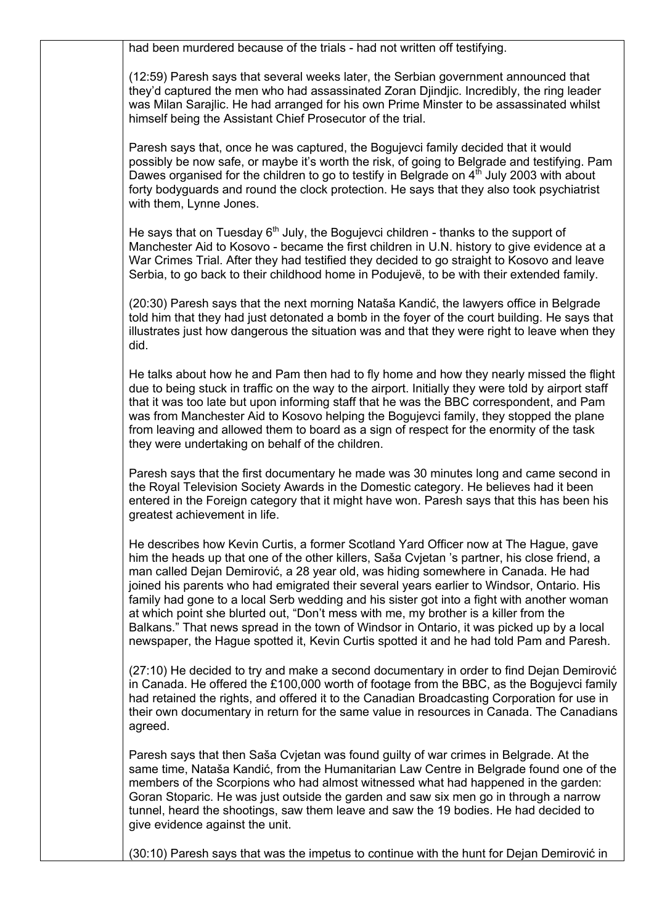had been murdered because of the trials - had not written off testifying.

(12:59) Paresh says that several weeks later, the Serbian government announced that they'd captured the men who had assassinated Zoran Djindjic. Incredibly, the ring leader was Milan Sarajlic. He had arranged for his own Prime Minster to be assassinated whilst himself being the Assistant Chief Prosecutor of the trial.

Paresh says that, once he was captured, the Bogujevci family decided that it would possibly be now safe, or maybe it's worth the risk, of going to Belgrade and testifying. Pam Dawes organised for the children to go to testify in Belgrade on  $4<sup>th</sup>$  July 2003 with about forty bodyguards and round the clock protection. He says that they also took psychiatrist with them, Lynne Jones.

He says that on Tuesday  $6<sup>th</sup>$  July, the Bogujevci children - thanks to the support of Manchester Aid to Kosovo - became the first children in U.N. history to give evidence at a War Crimes Trial. After they had testified they decided to go straight to Kosovo and leave Serbia, to go back to their childhood home in Podujevë, to be with their extended family.

(20:30) Paresh says that the next morning Nataša Kandić, the lawyers office in Belgrade told him that they had just detonated a bomb in the foyer of the court building. He says that illustrates just how dangerous the situation was and that they were right to leave when they did.

He talks about how he and Pam then had to fly home and how they nearly missed the flight due to being stuck in traffic on the way to the airport. Initially they were told by airport staff that it was too late but upon informing staff that he was the BBC correspondent, and Pam was from Manchester Aid to Kosovo helping the Bogujevci family, they stopped the plane from leaving and allowed them to board as a sign of respect for the enormity of the task they were undertaking on behalf of the children.

Paresh says that the first documentary he made was 30 minutes long and came second in the Royal Television Society Awards in the Domestic category. He believes had it been entered in the Foreign category that it might have won. Paresh says that this has been his greatest achievement in life.

He describes how Kevin Curtis, a former Scotland Yard Officer now at The Hague, gave him the heads up that one of the other killers, Saša Cvjetan 's partner, his close friend, a man called Dejan Demirović, a 28 year old, was hiding somewhere in Canada. He had joined his parents who had emigrated their several years earlier to Windsor, Ontario. His family had gone to a local Serb wedding and his sister got into a fight with another woman at which point she blurted out, "Don't mess with me, my brother is a killer from the Balkans." That news spread in the town of Windsor in Ontario, it was picked up by a local newspaper, the Hague spotted it, Kevin Curtis spotted it and he had told Pam and Paresh.

(27:10) He decided to try and make a second documentary in order to find Dejan Demirović in Canada. He offered the £100,000 worth of footage from the BBC, as the Bogujevci family had retained the rights, and offered it to the Canadian Broadcasting Corporation for use in their own documentary in return for the same value in resources in Canada. The Canadians agreed.

Paresh says that then Saša Cvjetan was found guilty of war crimes in Belgrade. At the same time, Nataša Kandić, from the Humanitarian Law Centre in Belgrade found one of the members of the Scorpions who had almost witnessed what had happened in the garden: Goran Stoparic. He was just outside the garden and saw six men go in through a narrow tunnel, heard the shootings, saw them leave and saw the 19 bodies. He had decided to give evidence against the unit.

(30:10) Paresh says that was the impetus to continue with the hunt for Dejan Demirović in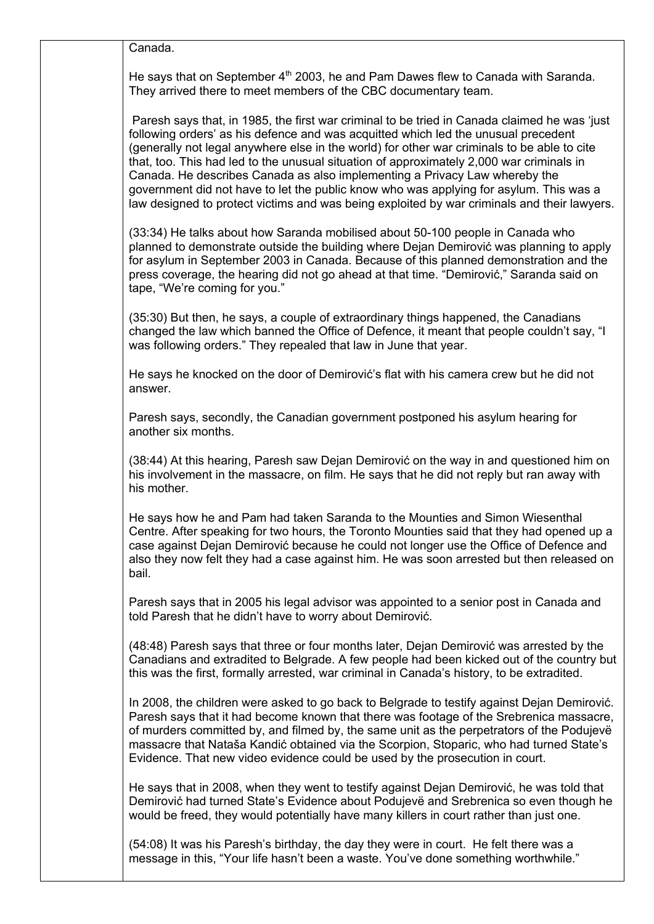Canada.

He says that on September  $4<sup>th</sup>$  2003, he and Pam Dawes flew to Canada with Saranda. They arrived there to meet members of the CBC documentary team.

Paresh says that, in 1985, the first war criminal to be tried in Canada claimed he was 'just following orders' as his defence and was acquitted which led the unusual precedent (generally not legal anywhere else in the world) for other war criminals to be able to cite that, too. This had led to the unusual situation of approximately 2,000 war criminals in Canada. He describes Canada as also implementing a Privacy Law whereby the government did not have to let the public know who was applying for asylum. This was a law designed to protect victims and was being exploited by war criminals and their lawyers.

(33:34) He talks about how Saranda mobilised about 50-100 people in Canada who planned to demonstrate outside the building where Dejan Demirović was planning to apply for asylum in September 2003 in Canada. Because of this planned demonstration and the press coverage, the hearing did not go ahead at that time. "Demirović," Saranda said on tape, "We're coming for you."

(35:30) But then, he says, a couple of extraordinary things happened, the Canadians changed the law which banned the Office of Defence, it meant that people couldn't say, "I was following orders." They repealed that law in June that year.

He says he knocked on the door of Demirović's flat with his camera crew but he did not answer.

Paresh says, secondly, the Canadian government postponed his asylum hearing for another six months.

(38:44) At this hearing, Paresh saw Dejan Demirović on the way in and questioned him on his involvement in the massacre, on film. He says that he did not reply but ran away with his mother.

He says how he and Pam had taken Saranda to the Mounties and Simon Wiesenthal Centre. After speaking for two hours, the Toronto Mounties said that they had opened up a case against Dejan Demirović because he could not longer use the Office of Defence and also they now felt they had a case against him. He was soon arrested but then released on bail.

Paresh says that in 2005 his legal advisor was appointed to a senior post in Canada and told Paresh that he didn't have to worry about Demirović.

(48:48) Paresh says that three or four months later, Dejan Demirović was arrested by the Canadians and extradited to Belgrade. A few people had been kicked out of the country but this was the first, formally arrested, war criminal in Canada's history, to be extradited.

In 2008, the children were asked to go back to Belgrade to testify against Dejan Demirović. Paresh says that it had become known that there was footage of the Srebrenica massacre, of murders committed by, and filmed by, the same unit as the perpetrators of the Podujevë massacre that Nataša Kandić obtained via the Scorpion, Stoparic, who had turned State's Evidence. That new video evidence could be used by the prosecution in court.

He says that in 2008, when they went to testify against Dejan Demirović, he was told that Demirović had turned State's Evidence about Podujevë and Srebrenica so even though he would be freed, they would potentially have many killers in court rather than just one.

(54:08) It was his Paresh's birthday, the day they were in court. He felt there was a message in this, "Your life hasn't been a waste. You've done something worthwhile."